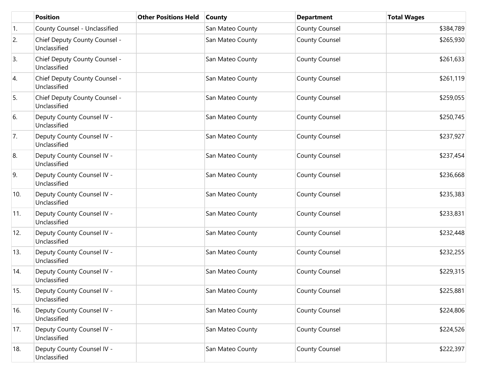|     | <b>Position</b>                               | <b>Other Positions Held</b> | <b>County</b>    | <b>Department</b>     | <b>Total Wages</b> |
|-----|-----------------------------------------------|-----------------------------|------------------|-----------------------|--------------------|
| 1.  | County Counsel - Unclassified                 |                             | San Mateo County | County Counsel        | \$384,789          |
| 2.  | Chief Deputy County Counsel -<br>Unclassified |                             | San Mateo County | County Counsel        | \$265,930          |
| 3.  | Chief Deputy County Counsel -<br>Unclassified |                             | San Mateo County | <b>County Counsel</b> | \$261,633          |
| 4.  | Chief Deputy County Counsel -<br>Unclassified |                             | San Mateo County | County Counsel        | \$261,119          |
| 5.  | Chief Deputy County Counsel -<br>Unclassified |                             | San Mateo County | <b>County Counsel</b> | \$259,055          |
| 6.  | Deputy County Counsel IV -<br>Unclassified    |                             | San Mateo County | <b>County Counsel</b> | \$250,745          |
| 7.  | Deputy County Counsel IV -<br>Unclassified    |                             | San Mateo County | <b>County Counsel</b> | \$237,927          |
| 8.  | Deputy County Counsel IV -<br>Unclassified    |                             | San Mateo County | <b>County Counsel</b> | \$237,454          |
| 9.  | Deputy County Counsel IV -<br>Unclassified    |                             | San Mateo County | County Counsel        | \$236,668          |
| 10. | Deputy County Counsel IV -<br>Unclassified    |                             | San Mateo County | <b>County Counsel</b> | \$235,383          |
| 11. | Deputy County Counsel IV -<br>Unclassified    |                             | San Mateo County | <b>County Counsel</b> | \$233,831          |
| 12. | Deputy County Counsel IV -<br>Unclassified    |                             | San Mateo County | <b>County Counsel</b> | \$232,448          |
| 13. | Deputy County Counsel IV -<br>Unclassified    |                             | San Mateo County | <b>County Counsel</b> | \$232,255          |
| 14. | Deputy County Counsel IV -<br>Unclassified    |                             | San Mateo County | <b>County Counsel</b> | \$229,315          |
| 15. | Deputy County Counsel IV -<br>Unclassified    |                             | San Mateo County | <b>County Counsel</b> | \$225,881          |
| 16. | Deputy County Counsel IV -<br>Unclassified    |                             | San Mateo County | County Counsel        | \$224,806          |
| 17. | Deputy County Counsel IV -<br>Unclassified    |                             | San Mateo County | County Counsel        | \$224,526          |
| 18. | Deputy County Counsel IV -<br>Unclassified    |                             | San Mateo County | County Counsel        | \$222,397          |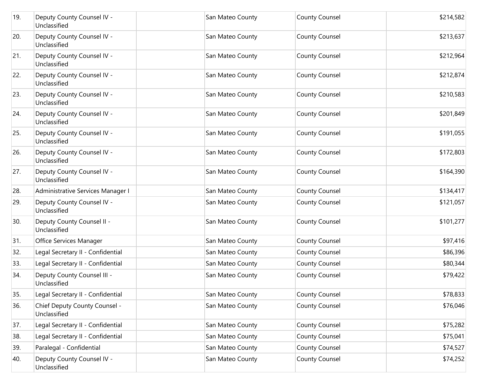| 19. | Deputy County Counsel IV -<br>Unclassified    | San Mateo County | <b>County Counsel</b> | \$214,582 |
|-----|-----------------------------------------------|------------------|-----------------------|-----------|
| 20. | Deputy County Counsel IV -<br>Unclassified    | San Mateo County | <b>County Counsel</b> | \$213,637 |
| 21. | Deputy County Counsel IV -<br>Unclassified    | San Mateo County | <b>County Counsel</b> | \$212,964 |
| 22. | Deputy County Counsel IV -<br>Unclassified    | San Mateo County | <b>County Counsel</b> | \$212,874 |
| 23. | Deputy County Counsel IV -<br>Unclassified    | San Mateo County | <b>County Counsel</b> | \$210,583 |
| 24. | Deputy County Counsel IV -<br>Unclassified    | San Mateo County | <b>County Counsel</b> | \$201,849 |
| 25. | Deputy County Counsel IV -<br>Unclassified    | San Mateo County | <b>County Counsel</b> | \$191,055 |
| 26. | Deputy County Counsel IV -<br>Unclassified    | San Mateo County | <b>County Counsel</b> | \$172,803 |
| 27. | Deputy County Counsel IV -<br>Unclassified    | San Mateo County | <b>County Counsel</b> | \$164,390 |
| 28. | Administrative Services Manager I             | San Mateo County | <b>County Counsel</b> | \$134,417 |
| 29. | Deputy County Counsel IV -<br>Unclassified    | San Mateo County | <b>County Counsel</b> | \$121,057 |
| 30. | Deputy County Counsel II -<br>Unclassified    | San Mateo County | <b>County Counsel</b> | \$101,277 |
| 31. | Office Services Manager                       | San Mateo County | <b>County Counsel</b> | \$97,416  |
| 32. | Legal Secretary II - Confidential             | San Mateo County | <b>County Counsel</b> | \$86,396  |
| 33. | Legal Secretary II - Confidential             | San Mateo County | <b>County Counsel</b> | \$80,344  |
| 34. | Deputy County Counsel III -<br>Unclassified   | San Mateo County | <b>County Counsel</b> | \$79,422  |
| 35. | Legal Secretary II - Confidential             | San Mateo County | County Counsel        | \$78,833  |
| 36. | Chief Deputy County Counsel -<br>Unclassified | San Mateo County | <b>County Counsel</b> | \$76,046  |
| 37. | Legal Secretary II - Confidential             | San Mateo County | <b>County Counsel</b> | \$75,282  |
| 38. | Legal Secretary II - Confidential             | San Mateo County | <b>County Counsel</b> | \$75,041  |
| 39. | Paralegal - Confidential                      | San Mateo County | <b>County Counsel</b> | \$74,527  |
| 40. | Deputy County Counsel IV -<br>Unclassified    | San Mateo County | <b>County Counsel</b> | \$74,252  |